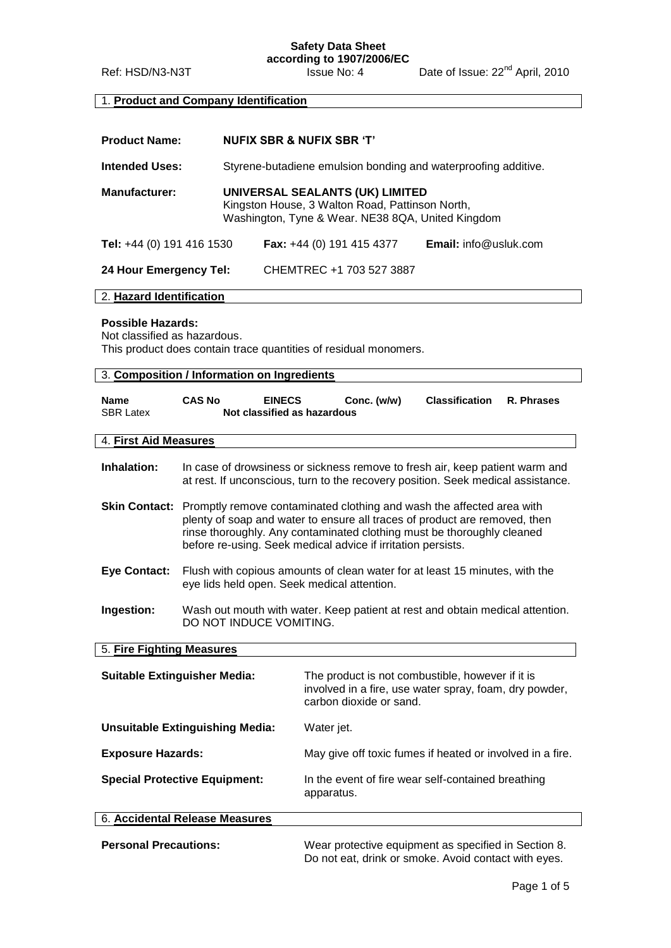**Safety Data Sheet according to 1907/2006/EC**

Ref: HSD/N3-N3T **ISSUE No: 4** Date of Issue: 22<sup>nd</sup> April, 2010

# 1. **Product and Company Identification**

| <b>Product Name:</b>                                                                                                                                                        |                                                                                                          |                                                                                                                                                                                                                                                                                                                    | <b>NUFIX SBR &amp; NUFIX SBR 'T'</b>                                                                                                    |                              |            |
|-----------------------------------------------------------------------------------------------------------------------------------------------------------------------------|----------------------------------------------------------------------------------------------------------|--------------------------------------------------------------------------------------------------------------------------------------------------------------------------------------------------------------------------------------------------------------------------------------------------------------------|-----------------------------------------------------------------------------------------------------------------------------------------|------------------------------|------------|
| <b>Intended Uses:</b>                                                                                                                                                       |                                                                                                          |                                                                                                                                                                                                                                                                                                                    | Styrene-butadiene emulsion bonding and waterproofing additive.                                                                          |                              |            |
| <b>Manufacturer:</b>                                                                                                                                                        |                                                                                                          |                                                                                                                                                                                                                                                                                                                    | UNIVERSAL SEALANTS (UK) LIMITED<br>Kingston House, 3 Walton Road, Pattinson North,<br>Washington, Tyne & Wear. NE38 8QA, United Kingdom |                              |            |
| Tel: +44 (0) 191 416 1530                                                                                                                                                   |                                                                                                          |                                                                                                                                                                                                                                                                                                                    | <b>Fax:</b> +44 (0) 191 415 4377                                                                                                        | <b>Email:</b> info@usluk.com |            |
| 24 Hour Emergency Tel:                                                                                                                                                      |                                                                                                          |                                                                                                                                                                                                                                                                                                                    | CHEMTREC +1 703 527 3887                                                                                                                |                              |            |
| 2. Hazard Identification                                                                                                                                                    |                                                                                                          |                                                                                                                                                                                                                                                                                                                    |                                                                                                                                         |                              |            |
| <b>Possible Hazards:</b><br>Not classified as hazardous.<br>This product does contain trace quantities of residual monomers.<br>3. Composition / Information on Ingredients |                                                                                                          |                                                                                                                                                                                                                                                                                                                    |                                                                                                                                         |                              |            |
|                                                                                                                                                                             |                                                                                                          |                                                                                                                                                                                                                                                                                                                    |                                                                                                                                         |                              |            |
| <b>Name</b><br><b>SBR Latex</b>                                                                                                                                             | <b>CAS No</b>                                                                                            | <b>EINECS</b><br>Not classified as hazardous                                                                                                                                                                                                                                                                       | Conc. (w/w)                                                                                                                             | <b>Classification</b>        | R. Phrases |
| 4. First Aid Measures                                                                                                                                                       |                                                                                                          |                                                                                                                                                                                                                                                                                                                    |                                                                                                                                         |                              |            |
| Inhalation:                                                                                                                                                                 |                                                                                                          | In case of drowsiness or sickness remove to fresh air, keep patient warm and<br>at rest. If unconscious, turn to the recovery position. Seek medical assistance.                                                                                                                                                   |                                                                                                                                         |                              |            |
|                                                                                                                                                                             |                                                                                                          | <b>Skin Contact:</b> Promptly remove contaminated clothing and wash the affected area with<br>plenty of soap and water to ensure all traces of product are removed, then<br>rinse thoroughly. Any contaminated clothing must be thoroughly cleaned<br>before re-using. Seek medical advice if irritation persists. |                                                                                                                                         |                              |            |
| <b>Eye Contact:</b>                                                                                                                                                         |                                                                                                          | Flush with copious amounts of clean water for at least 15 minutes, with the<br>eye lids held open. Seek medical attention.                                                                                                                                                                                         |                                                                                                                                         |                              |            |
| Ingestion:                                                                                                                                                                  | Wash out mouth with water. Keep patient at rest and obtain medical attention.<br>DO NOT INDUCE VOMITING. |                                                                                                                                                                                                                                                                                                                    |                                                                                                                                         |                              |            |
| 5. Fire Fighting Measures                                                                                                                                                   |                                                                                                          |                                                                                                                                                                                                                                                                                                                    |                                                                                                                                         |                              |            |
| <b>Suitable Extinguisher Media:</b>                                                                                                                                         |                                                                                                          | The product is not combustible, however if it is<br>involved in a fire, use water spray, foam, dry powder,<br>carbon dioxide or sand.                                                                                                                                                                              |                                                                                                                                         |                              |            |
| <b>Unsuitable Extinguishing Media:</b>                                                                                                                                      |                                                                                                          | Water jet.                                                                                                                                                                                                                                                                                                         |                                                                                                                                         |                              |            |
| <b>Exposure Hazards:</b>                                                                                                                                                    |                                                                                                          | May give off toxic fumes if heated or involved in a fire.                                                                                                                                                                                                                                                          |                                                                                                                                         |                              |            |
| <b>Special Protective Equipment:</b>                                                                                                                                        |                                                                                                          | In the event of fire wear self-contained breathing                                                                                                                                                                                                                                                                 |                                                                                                                                         |                              |            |

| 6. Accidental Release Measures |                                                                                                              |
|--------------------------------|--------------------------------------------------------------------------------------------------------------|
| <b>Personal Precautions:</b>   | Wear protective equipment as specified in Section 8.<br>Do not eat, drink or smoke. Avoid contact with eyes. |

apparatus.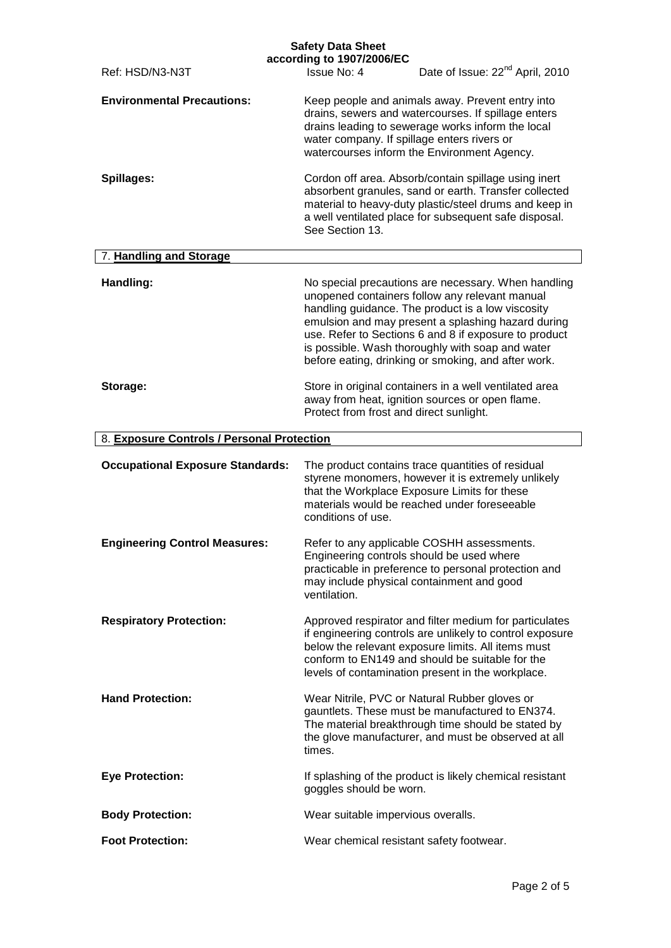| Ref: HSD/N3-N3T                            | <b>Safety Data Sheet</b><br>according to 1907/2006/EC<br>Date of Issue: 22 <sup>nd</sup> April, 2010<br>Issue No: 4                                                                                                                                                                                                                                                                  |
|--------------------------------------------|--------------------------------------------------------------------------------------------------------------------------------------------------------------------------------------------------------------------------------------------------------------------------------------------------------------------------------------------------------------------------------------|
| <b>Environmental Precautions:</b>          | Keep people and animals away. Prevent entry into<br>drains, sewers and watercourses. If spillage enters<br>drains leading to sewerage works inform the local<br>water company. If spillage enters rivers or<br>watercourses inform the Environment Agency.                                                                                                                           |
| Spillages:                                 | Cordon off area. Absorb/contain spillage using inert<br>absorbent granules, sand or earth. Transfer collected<br>material to heavy-duty plastic/steel drums and keep in<br>a well ventilated place for subsequent safe disposal.<br>See Section 13.                                                                                                                                  |
| 7. Handling and Storage                    |                                                                                                                                                                                                                                                                                                                                                                                      |
| Handling:                                  | No special precautions are necessary. When handling<br>unopened containers follow any relevant manual<br>handling guidance. The product is a low viscosity<br>emulsion and may present a splashing hazard during<br>use. Refer to Sections 6 and 8 if exposure to product<br>is possible. Wash thoroughly with soap and water<br>before eating, drinking or smoking, and after work. |
| Storage:                                   | Store in original containers in a well ventilated area<br>away from heat, ignition sources or open flame.<br>Protect from frost and direct sunlight.                                                                                                                                                                                                                                 |
| 8. Exposure Controls / Personal Protection |                                                                                                                                                                                                                                                                                                                                                                                      |
| <b>Occupational Exposure Standards:</b>    | The product contains trace quantities of residual<br>styrene monomers, however it is extremely unlikely<br>that the Workplace Exposure Limits for these<br>materials would be reached under foreseeable<br>conditions of use.                                                                                                                                                        |
| <b>Engineering Control Measures:</b>       | Refer to any applicable COSHH assessments.<br>Engineering controls should be used where<br>practicable in preference to personal protection and<br>may include physical containment and good<br>ventilation.                                                                                                                                                                         |
| <b>Respiratory Protection:</b>             | Approved respirator and filter medium for particulates<br>if engineering controls are unlikely to control exposure<br>below the relevant exposure limits. All items must<br>conform to EN149 and should be suitable for the<br>levels of contamination present in the workplace.                                                                                                     |
| <b>Hand Protection:</b>                    | Wear Nitrile, PVC or Natural Rubber gloves or<br>gauntlets. These must be manufactured to EN374.<br>The material breakthrough time should be stated by<br>the glove manufacturer, and must be observed at all<br>times.                                                                                                                                                              |
| <b>Eye Protection:</b>                     | If splashing of the product is likely chemical resistant<br>goggles should be worn.                                                                                                                                                                                                                                                                                                  |
| <b>Body Protection:</b>                    | Wear suitable impervious overalls.                                                                                                                                                                                                                                                                                                                                                   |
| <b>Foot Protection:</b>                    | Wear chemical resistant safety footwear.                                                                                                                                                                                                                                                                                                                                             |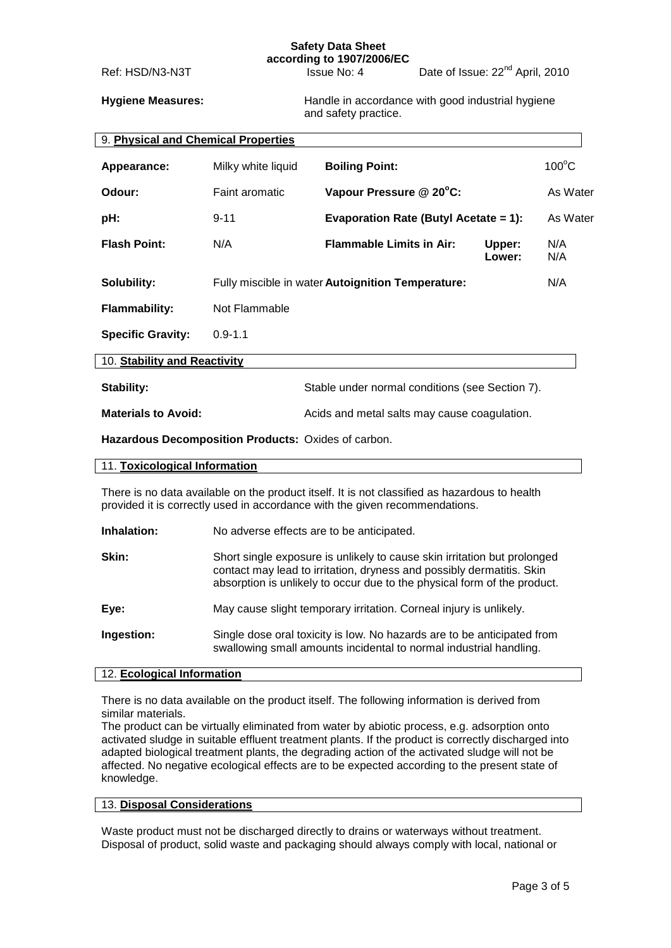#### **Safety Data Sheet according to 1907/2006/EC**

Ref: HSD/N3-N3T Issue No: 4 Date of Issue: 22<sup>nd</sup> April, 2010

**Hygiene Measures:** Handle in accordance with good industrial hygiene and safety practice.

| 9. Physical and Chemical Properties |                    |                                                   |                  |                 |
|-------------------------------------|--------------------|---------------------------------------------------|------------------|-----------------|
| Appearance:                         | Milky white liquid | <b>Boiling Point:</b>                             |                  | $100^{\circ}$ C |
| Odour:                              | Faint aromatic     | Vapour Pressure @ 20°C:                           |                  | As Water        |
| pH:                                 | $9 - 11$           | <b>Evaporation Rate (Butyl Acetate = 1):</b>      |                  | As Water        |
| <b>Flash Point:</b>                 | N/A                | <b>Flammable Limits in Air:</b>                   | Upper:<br>Lower: | N/A<br>N/A      |
| Solubility:                         |                    | Fully miscible in water Autoignition Temperature: |                  | N/A             |
| <b>Flammability:</b>                | Not Flammable      |                                                   |                  |                 |
| <b>Specific Gravity:</b>            | $0.9 - 1.1$        |                                                   |                  |                 |
| 10. Stability and Reactivity        |                    |                                                   |                  |                 |
| <b>Stability:</b>                   |                    | Stable under normal conditions (see Section 7).   |                  |                 |

**Materials to Avoid:** Acids and metal salts may cause coagulation.

**Hazardous Decomposition Products:** Oxides of carbon.

| 11. Toxicological Information |  |
|-------------------------------|--|
|                               |  |

There is no data available on the product itself. It is not classified as hazardous to health provided it is correctly used in accordance with the given recommendations.

**Inhalation:** No adverse effects are to be anticipated.

| Skin:      | Short single exposure is unlikely to cause skin irritation but prolonged<br>contact may lead to irritation, dryness and possibly dermatitis. Skin<br>absorption is unlikely to occur due to the physical form of the product. |
|------------|-------------------------------------------------------------------------------------------------------------------------------------------------------------------------------------------------------------------------------|
| Eye:       | May cause slight temporary irritation. Corneal injury is unlikely.                                                                                                                                                            |
| Ingestion: | Single dose oral toxicity is low. No hazards are to be anticipated from<br>swallowing small amounts incidental to normal industrial handling.                                                                                 |

#### 12. **Ecological Information**

There is no data available on the product itself. The following information is derived from similar materials.

The product can be virtually eliminated from water by abiotic process, e.g. adsorption onto activated sludge in suitable effluent treatment plants. If the product is correctly discharged into adapted biological treatment plants, the degrading action of the activated sludge will not be affected. No negative ecological effects are to be expected according to the present state of knowledge.

#### 13. **Disposal Considerations**

Waste product must not be discharged directly to drains or waterways without treatment. Disposal of product, solid waste and packaging should always comply with local, national or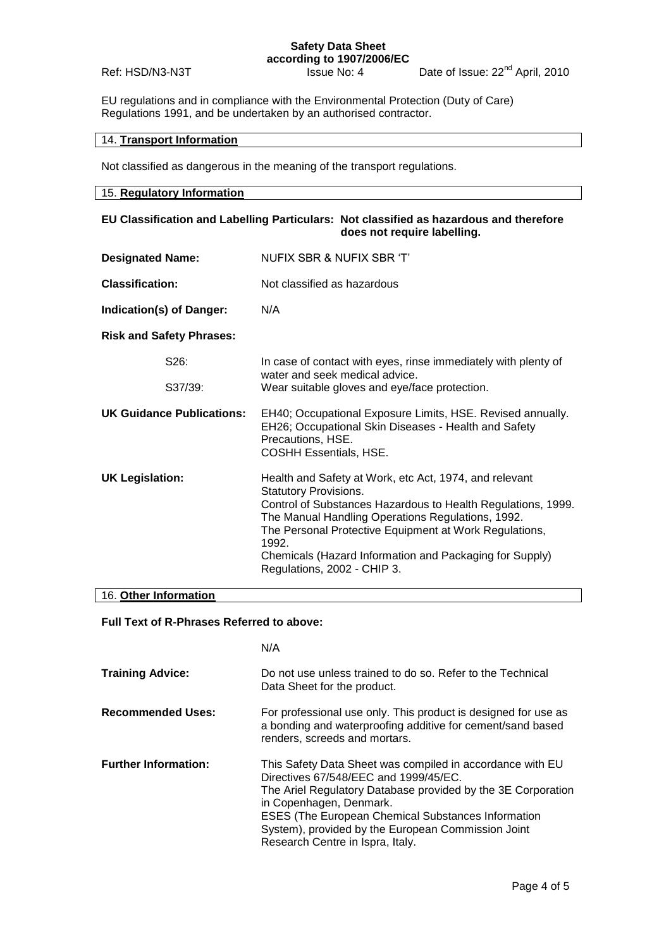### **Safety Data Sheet according to 1907/2006/EC**

Ref: HSD/N3-N3T Issue No: 4 Date of Issue: 22<sup>nd</sup> April, 2010

EU regulations and in compliance with the Environmental Protection (Duty of Care) Regulations 1991, and be undertaken by an authorised contractor.

## 14. **Transport Information**

Not classified as dangerous in the meaning of the transport regulations.

## 15. **Regulatory Information**

| EU Classification and Labelling Particulars: Not classified as hazardous and therefore<br>does not require labelling. |                                                                                                                                                                                                                                                                                                                                                                          |  |  |
|-----------------------------------------------------------------------------------------------------------------------|--------------------------------------------------------------------------------------------------------------------------------------------------------------------------------------------------------------------------------------------------------------------------------------------------------------------------------------------------------------------------|--|--|
| <b>Designated Name:</b>                                                                                               | NUFIX SBR & NUFIX SBR 'T'                                                                                                                                                                                                                                                                                                                                                |  |  |
| <b>Classification:</b>                                                                                                | Not classified as hazardous                                                                                                                                                                                                                                                                                                                                              |  |  |
| Indication(s) of Danger:                                                                                              | N/A                                                                                                                                                                                                                                                                                                                                                                      |  |  |
| <b>Risk and Safety Phrases:</b>                                                                                       |                                                                                                                                                                                                                                                                                                                                                                          |  |  |
| S26:                                                                                                                  | In case of contact with eyes, rinse immediately with plenty of<br>water and seek medical advice.                                                                                                                                                                                                                                                                         |  |  |
| S37/39:                                                                                                               | Wear suitable gloves and eye/face protection.                                                                                                                                                                                                                                                                                                                            |  |  |
| <b>UK Guidance Publications:</b>                                                                                      | EH40; Occupational Exposure Limits, HSE. Revised annually.<br>EH26; Occupational Skin Diseases - Health and Safety<br>Precautions, HSE.<br><b>COSHH Essentials, HSE.</b>                                                                                                                                                                                                 |  |  |
| <b>UK Legislation:</b>                                                                                                | Health and Safety at Work, etc Act, 1974, and relevant<br><b>Statutory Provisions.</b><br>Control of Substances Hazardous to Health Regulations, 1999.<br>The Manual Handling Operations Regulations, 1992.<br>The Personal Protective Equipment at Work Regulations,<br>1992.<br>Chemicals (Hazard Information and Packaging for Supply)<br>Regulations, 2002 - CHIP 3. |  |  |
| 16. Other Information                                                                                                 |                                                                                                                                                                                                                                                                                                                                                                          |  |  |

# 16. **Other Information**

### **Full Text of R-Phrases Referred to above:**

|                             | N/A                                                                                                                                                                                                                                                                                                                                                  |
|-----------------------------|------------------------------------------------------------------------------------------------------------------------------------------------------------------------------------------------------------------------------------------------------------------------------------------------------------------------------------------------------|
| <b>Training Advice:</b>     | Do not use unless trained to do so. Refer to the Technical<br>Data Sheet for the product.                                                                                                                                                                                                                                                            |
| <b>Recommended Uses:</b>    | For professional use only. This product is designed for use as<br>a bonding and waterproofing additive for cement/sand based<br>renders, screeds and mortars.                                                                                                                                                                                        |
| <b>Further Information:</b> | This Safety Data Sheet was compiled in accordance with EU<br>Directives 67/548/EEC and 1999/45/EC.<br>The Ariel Regulatory Database provided by the 3E Corporation<br>in Copenhagen, Denmark.<br><b>ESES (The European Chemical Substances Information</b><br>System), provided by the European Commission Joint<br>Research Centre in Ispra, Italy. |